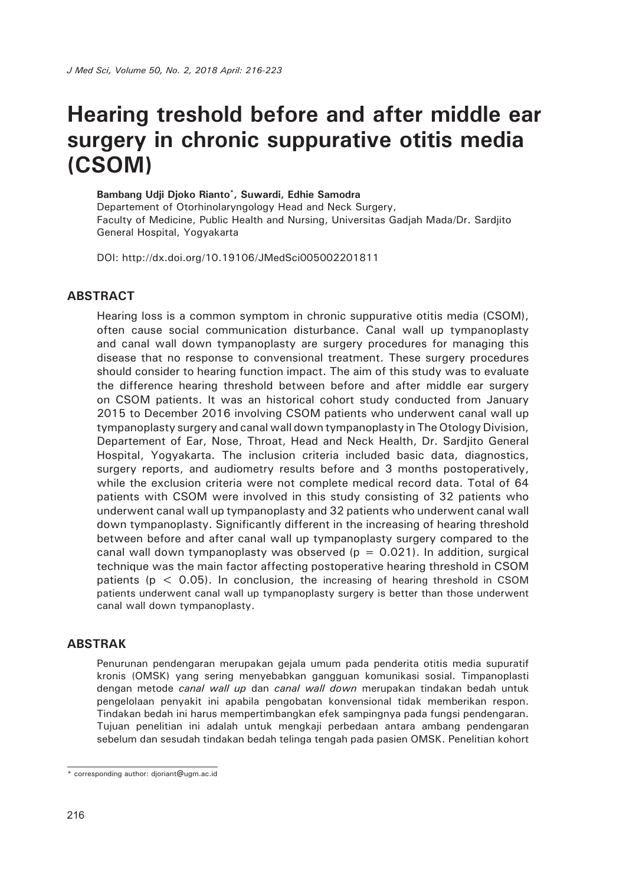# **Hearing treshold before and after middle ear surgery in chronic suppurative otitis media (CSOM)**

#### **Bambang Udji Djoko Rianto\*, Suwardi, Edhie Samodra**

Departement of Otorhinolaryngology Head and Neck Surgery, Faculty of Medicine, Public Health and Nursing, Universitas Gadjah Mada/Dr. Sardjito General Hospital, Yogyakarta

DOI: http://dx.doi.org/10.19106/JMedSci005002201811

### **ABSTRACT**

Hearing loss is a common symptom in chronic suppurative otitis media (CSOM), often cause social communication disturbance. Canal wall up tympanoplasty and canal wall down tympanoplasty are surgery procedures for managing this disease that no response to convensional treatment. These surgery procedures should consider to hearing function impact. The aim of this study was to evaluate the difference hearing threshold between before and after middle ear surgery on CSOM patients. It was an historical cohort study conducted from January 2015 to December 2016 involving CSOM patients who underwent canal wall up tympanoplasty surgery and canal wall down tympanoplasty in The Otology Division, Departement of Ear, Nose, Throat, Head and Neck Health, Dr. Sardjito General Hospital, Yogyakarta. The inclusion criteria included basic data, diagnostics, surgery reports, and audiometry results before and 3 months postoperatively, while the exclusion criteria were not complete medical record data. Total of 64 patients with CSOM were involved in this study consisting of 32 patients who underwent canal wall up tympanoplasty and 32 patients who underwent canal wall down tympanoplasty. Significantly different in the increasing of hearing threshold between before and after canal wall up tympanoplasty surgery compared to the canal wall down tympanoplasty was observed ( $p = 0.021$ ). In addition, surgical technique was the main factor affecting postoperative hearing threshold in CSOM patients ( $p < 0.05$ ). In conclusion, the increasing of hearing threshold in CSOM patients underwent canal wall up tympanoplasty surgery is better than those underwent canal wall down tympanoplasty.

#### **ABSTRAK**

Penurunan pendengaran merupakan gejala umum pada penderita otitis media supuratif kronis (OMSK) yang sering menyebabkan gangguan komunikasi sosial. Timpanoplasti dengan metode *canal wall up* dan *canal wall down* merupakan tindakan bedah untuk pengelolaan penyakit ini apabila pengobatan konvensional tidak memberikan respon. Tindakan bedah ini harus mempertimbangkan efek sampingnya pada fungsi pendengaran. Tujuan penelitian ini adalah untuk mengkaji perbedaan antara ambang pendengaran sebelum dan sesudah tindakan bedah telinga tengah pada pasien OMSK. Penelitian kohort

<sup>\*</sup> corresponding author: djoriant@ugm.ac.id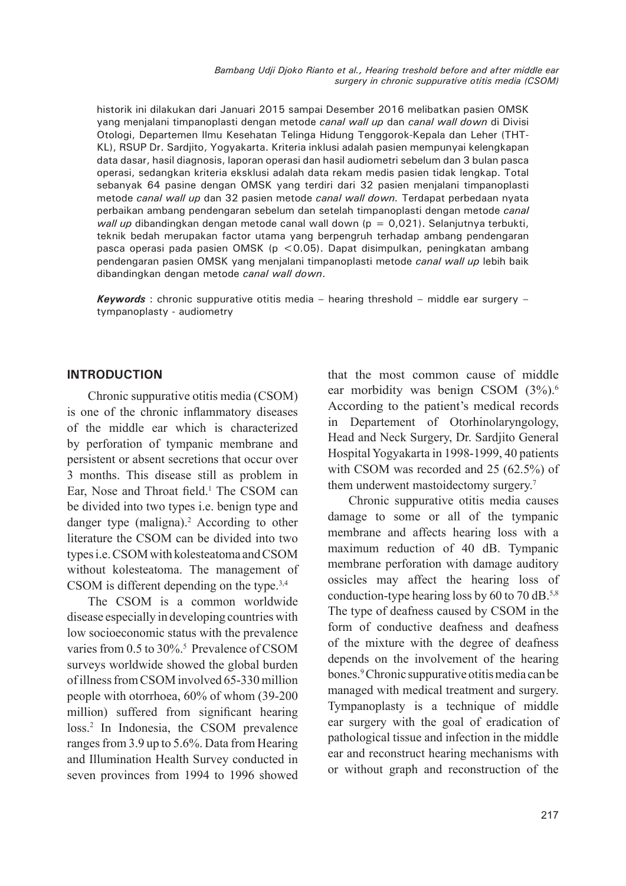historik ini dilakukan dari Januari 2015 sampai Desember 2016 melibatkan pasien OMSK yang menjalani timpanoplasti dengan metode *canal wall up* dan *canal wall down* di Divisi Otologi, Departemen Ilmu Kesehatan Telinga Hidung Tenggorok-Kepala dan Leher (THT-KL), RSUP Dr. Sardjito, Yogyakarta. Kriteria inklusi adalah pasien mempunyai kelengkapan data dasar, hasil diagnosis, laporan operasi dan hasil audiometri sebelum dan 3 bulan pasca operasi, sedangkan kriteria eksklusi adalah data rekam medis pasien tidak lengkap. Total sebanyak 64 pasine dengan OMSK yang terdiri dari 32 pasien menjalani timpanoplasti metode *canal wall up* dan 32 pasien metode *canal wall down.* Terdapat perbedaan nyata perbaikan ambang pendengaran sebelum dan setelah timpanoplasti dengan metode *canal wall up* dibandingkan dengan metode canal wall down (p = 0,021). Selanjutnya terbukti, teknik bedah merupakan factor utama yang berpengruh terhadap ambang pendengaran pasca operasi pada pasien OMSK (p <0.05). Dapat disimpulkan, peningkatan ambang pendengaran pasien OMSK yang menjalani timpanoplasti metode *canal wall up* lebih baik dibandingkan dengan metode *canal wall down*.

*Keywords* : chronic suppurative otitis media – hearing threshold – middle ear surgery – tympanoplasty - audiometry

#### **INTRODUCTION**

Chronic suppurative otitis media (CSOM) is one of the chronic inflammatory diseases of the middle ear which is characterized by perforation of tympanic membrane and persistent or absent secretions that occur over 3 months. This disease still as problem in Ear, Nose and Throat field.<sup>1</sup> The CSOM can be divided into two types i.e. benign type and danger type (maligna).<sup>2</sup> According to other literature the CSOM can be divided into two types i.e. CSOM with kolesteatoma and CSOM without kolesteatoma. The management of CSOM is different depending on the type.3,4

The CSOM is a common worldwide disease especially in developing countries with low socioeconomic status with the prevalence varies from 0.5 to 30%.<sup>5</sup> Prevalence of CSOM surveys worldwide showed the global burden of illness from CSOM involved 65-330 million people with otorrhoea, 60% of whom (39-200 million) suffered from significant hearing loss.2 In Indonesia, the CSOM prevalence ranges from 3.9 up to 5.6%. Data from Hearing and Illumination Health Survey conducted in seven provinces from 1994 to 1996 showed

that the most common cause of middle ear morbidity was benign CSOM  $(3\%)$ .<sup>6</sup> According to the patient's medical records in Departement of Otorhinolaryngology, Head and Neck Surgery, Dr. Sardjito General Hospital Yogyakarta in 1998-1999, 40 patients with CSOM was recorded and 25 (62.5%) of them underwent mastoidectomy surgery.<sup>7</sup>

Chronic suppurative otitis media causes damage to some or all of the tympanic membrane and affects hearing loss with a maximum reduction of 40 dB. Tympanic membrane perforation with damage auditory ossicles may affect the hearing loss of conduction-type hearing loss by 60 to 70 dB.5,8 The type of deafness caused by CSOM in the form of conductive deafness and deafness of the mixture with the degree of deafness depends on the involvement of the hearing bones.9 Chronic suppurative otitis media can be managed with medical treatment and surgery. Tympanoplasty is a technique of middle ear surgery with the goal of eradication of pathological tissue and infection in the middle ear and reconstruct hearing mechanisms with or without graph and reconstruction of the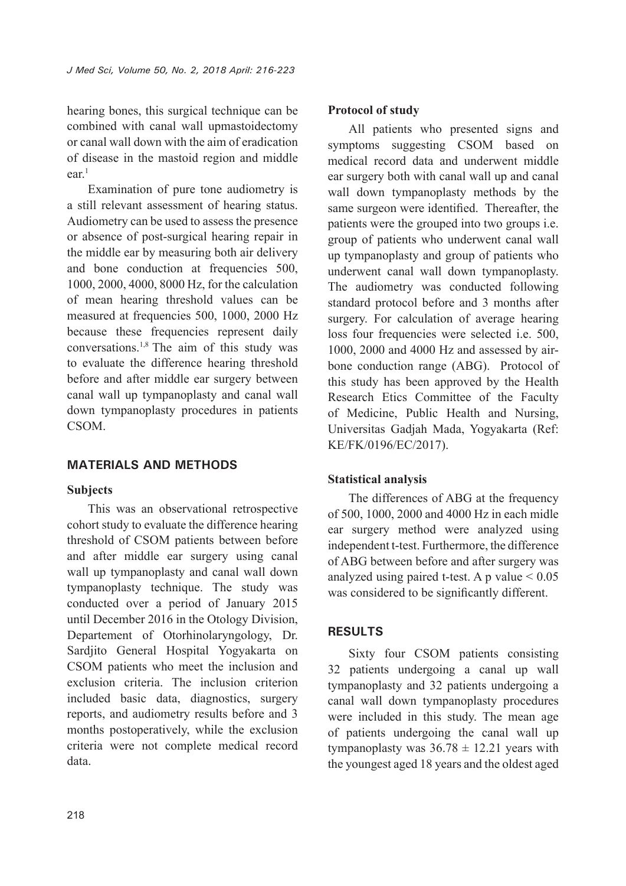hearing bones, this surgical technique can be combined with canal wall upmastoidectomy or canal wall down with the aim of eradication of disease in the mastoid region and middle  $ear<sup>1</sup>$ 

Examination of pure tone audiometry is a still relevant assessment of hearing status. Audiometry can be used to assess the presence or absence of post-surgical hearing repair in the middle ear by measuring both air delivery and bone conduction at frequencies 500, 1000, 2000, 4000, 8000 Hz, for the calculation of mean hearing threshold values can be measured at frequencies 500, 1000, 2000 Hz because these frequencies represent daily conversations.<sup>1,8</sup> The aim of this study was to evaluate the difference hearing threshold before and after middle ear surgery between canal wall up tympanoplasty and canal wall down tympanoplasty procedures in patients CSOM.

## **MATERIALS AND METHODS**

### **Subjects**

This was an observational retrospective cohort study to evaluate the difference hearing threshold of CSOM patients between before and after middle ear surgery using canal wall up tympanoplasty and canal wall down tympanoplasty technique. The study was conducted over a period of January 2015 until December 2016 in the Otology Division, Departement of Otorhinolaryngology, Dr. Sardjito General Hospital Yogyakarta on CSOM patients who meet the inclusion and exclusion criteria. The inclusion criterion included basic data, diagnostics, surgery reports, and audiometry results before and 3 months postoperatively, while the exclusion criteria were not complete medical record data.

#### **Protocol of study**

All patients who presented signs and symptoms suggesting CSOM based on medical record data and underwent middle ear surgery both with canal wall up and canal wall down tympanoplasty methods by the same surgeon were identified. Thereafter, the patients were the grouped into two groups i.e. group of patients who underwent canal wall up tympanoplasty and group of patients who underwent canal wall down tympanoplasty. The audiometry was conducted following standard protocol before and 3 months after surgery. For calculation of average hearing loss four frequencies were selected i.e. 500, 1000, 2000 and 4000 Hz and assessed by airbone conduction range (ABG). Protocol of this study has been approved by the Health Research Etics Committee of the Faculty of Medicine, Public Health and Nursing, Universitas Gadjah Mada, Yogyakarta (Ref: KE/FK/0196/EC/2017).

### **Statistical analysis**

The differences of ABG at the frequency of 500, 1000, 2000 and 4000 Hz in each midle ear surgery method were analyzed using independent t-test. Furthermore, the difference of ABG between before and after surgery was analyzed using paired t-test. A p value  $< 0.05$ was considered to be significantly different.

### **RESULTS**

Sixty four CSOM patients consisting 32 patients undergoing a canal up wall tympanoplasty and 32 patients undergoing a canal wall down tympanoplasty procedures were included in this study. The mean age of patients undergoing the canal wall up tympanoplasty was  $36.78 \pm 12.21$  years with the youngest aged 18 years and the oldest aged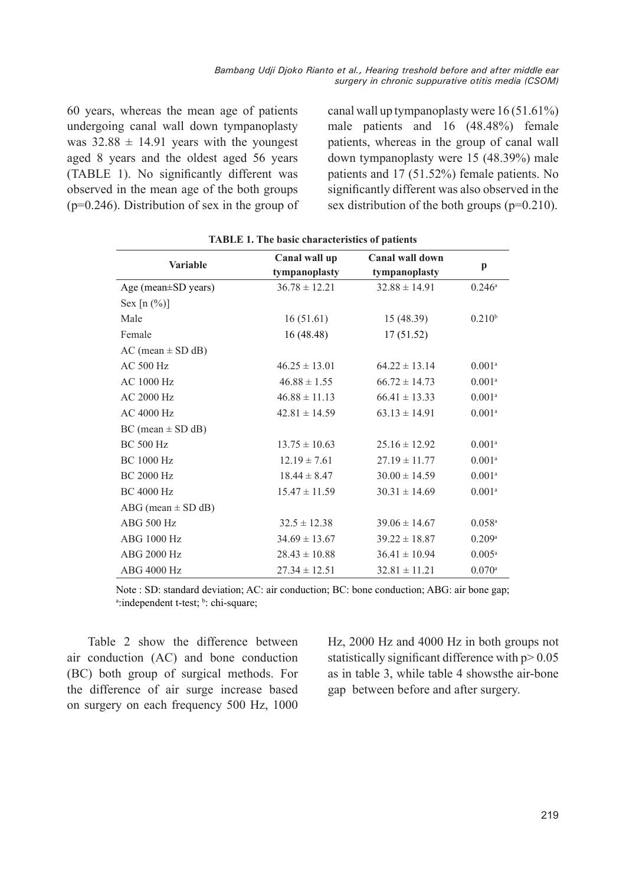60 years, whereas the mean age of patients undergoing canal wall down tympanoplasty was  $32.88 \pm 14.91$  years with the youngest aged 8 years and the oldest aged 56 years (TABLE 1). No significantly different was observed in the mean age of the both groups (p=0.246). Distribution of sex in the group of canal wall up tympanoplasty were 16 (51.61%) male patients and 16 (48.48%) female patients, whereas in the group of canal wall down tympanoplasty were 15 (48.39%) male patients and 17 (51.52%) female patients. No significantly different was also observed in the sex distribution of the both groups (p=0.210).

| <b>Variable</b>           | Canal wall up     | Canal wall down   |                      |
|---------------------------|-------------------|-------------------|----------------------|
|                           | tympanoplasty     | tympanoplasty     | $\mathbf{p}$         |
| Age (mean $\pm$ SD years) | $36.78 \pm 12.21$ | $32.88 \pm 14.91$ | $0.246^{\circ}$      |
| Sex $[n (%)]$             |                   |                   |                      |
| Male                      | 16(51.61)         | 15(48.39)         | $0.210^{b}$          |
| Female                    | 16 (48.48)        | 17(51.52)         |                      |
| $AC (mean \pm SD dB)$     |                   |                   |                      |
| AC 500 Hz                 | $46.25 \pm 13.01$ | $64.22 \pm 13.14$ | 0.001 <sup>a</sup>   |
| AC 1000 Hz                | $46.88 \pm 1.55$  | $66.72 \pm 14.73$ | $0.001^{a}$          |
| AC 2000 Hz                | $46.88 \pm 11.13$ | $66.41 \pm 13.33$ | $0.001^{a}$          |
| AC 4000 Hz                | $42.81 \pm 14.59$ | $63.13 \pm 14.91$ | $0.001^{a}$          |
| $BC (mean \pm SD dB)$     |                   |                   |                      |
| <b>BC 500 Hz</b>          | $13.75 \pm 10.63$ | $25.16 \pm 12.92$ | $0.001^{a}$          |
| <b>BC 1000 Hz</b>         | $12.19 \pm 7.61$  | $27.19 \pm 11.77$ | $0.001^{a}$          |
| <b>BC 2000 Hz</b>         | $18.44 \pm 8.47$  | $30.00 \pm 14.59$ | $0.001^{a}$          |
| <b>BC 4000 Hz</b>         | $15.47 \pm 11.59$ | $30.31 \pm 14.69$ | 0.001 <sup>a</sup>   |
| ABG (mean $\pm$ SD dB)    |                   |                   |                      |
| ABG 500 Hz                | $32.5 \pm 12.38$  | $39.06 \pm 14.67$ | $0.058$ <sup>a</sup> |
| ABG 1000 Hz               | $34.69 \pm 13.67$ | $39.22 \pm 18.87$ | 0.209a               |
| ABG 2000 Hz               | $28.43 \pm 10.88$ | $36.41 \pm 10.94$ | $0.005^{a}$          |
| ABG 4000 Hz               | $27.34 \pm 12.51$ | $32.81 \pm 11.21$ | $0.070$ <sup>a</sup> |

**TABLE 1. The basic characteristics of patients**

Note : SD: standard deviation; AC: air conduction; BC: bone conduction; ABG: air bone gap; a:independent t-test; b: chi-square;

Table 2 show the difference between air conduction (AC) and bone conduction (BC) both group of surgical methods. For the difference of air surge increase based on surgery on each frequency 500 Hz, 1000

Hz, 2000 Hz and 4000 Hz in both groups not statistically significant difference with  $p > 0.05$ as in table 3, while table 4 showsthe air-bone gap between before and after surgery.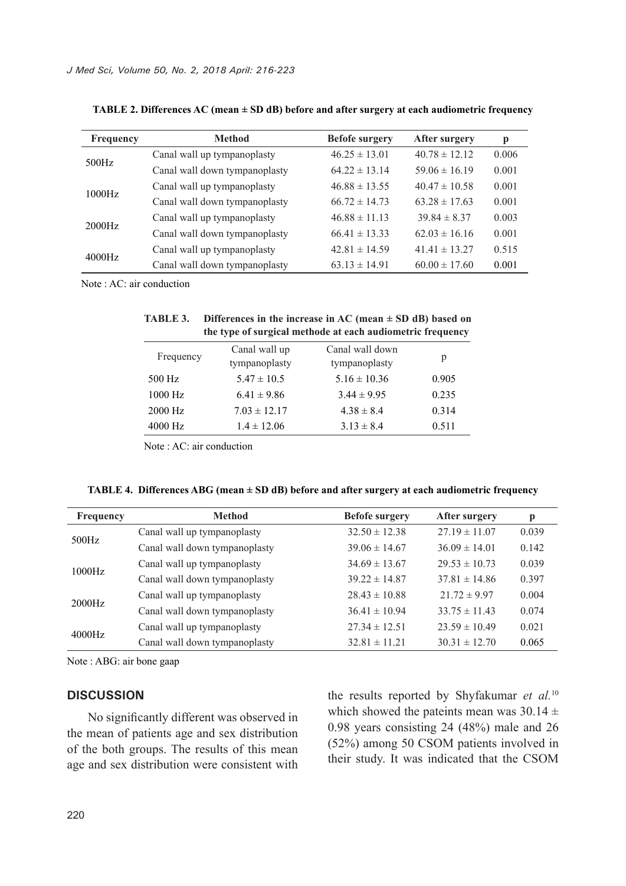| Frequency | <b>Method</b>                 | <b>Befofe surgery</b> | <b>After surgery</b> | p     |
|-----------|-------------------------------|-----------------------|----------------------|-------|
| 500Hz     | Canal wall up tympanoplasty   | $46.25 \pm 13.01$     | $40.78 \pm 12.12$    | 0.006 |
|           | Canal wall down tympanoplasty | $64.22 \pm 13.14$     | $59.06 \pm 16.19$    | 0.001 |
| 1000Hz    | Canal wall up tympanoplasty   | $46.88 \pm 13.55$     | $40.47 \pm 10.58$    | 0.001 |
|           | Canal wall down tympanoplasty | $66.72 \pm 14.73$     | $63.28 \pm 17.63$    | 0.001 |
| 2000Hz    | Canal wall up tympanoplasty   | $46.88 \pm 11.13$     | $39.84 \pm 8.37$     | 0.003 |
|           | Canal wall down tympanoplasty | $66.41 \pm 13.33$     | $62.03 \pm 16.16$    | 0.001 |
| 4000Hz    | Canal wall up tympanoplasty   | $42.81 \pm 14.59$     | $41.41 \pm 13.27$    | 0.515 |
|           | Canal wall down tympanoplasty | $63.13 \pm 14.91$     | $60.00 \pm 17.60$    | 0.001 |

**TABLE 2. Differences AC (mean ± SD dB) before and after surgery at each audiometric frequency**

Note : AC: air conduction

| <b>TABLE 3.</b> | Differences in the increase in AC (mean $\pm$ SD dB) based on |
|-----------------|---------------------------------------------------------------|
|                 | the type of surgical methode at each audiometric frequency    |

| Frequency | Canal wall up<br>tympanoplasty | Canal wall down<br>tympanoplasty | p     |
|-----------|--------------------------------|----------------------------------|-------|
| 500 Hz    | $5.47 \pm 10.5$                | $5.16 \pm 10.36$                 | 0.905 |
| $1000$ Hz | $6.41 \pm 9.86$                | $3.44 \pm 9.95$                  | 0.235 |
| 2000 Hz   | $7.03 \pm 12.17$               | $4.38 \pm 8.4$                   | 0.314 |
| 4000 Hz   | $1.4 \pm 12.06$                | $3.13 \pm 8.4$                   | 0.511 |

Note : AC: air conduction

| TABLE 4. Differences ABG (mean $\pm$ SD dB) before and after surgery at each audiometric frequency |  |  |  |
|----------------------------------------------------------------------------------------------------|--|--|--|
|                                                                                                    |  |  |  |

| Frequency | <b>Method</b>                 | <b>Befofe surgery</b> | After surgery     | p     |
|-----------|-------------------------------|-----------------------|-------------------|-------|
| 500Hz     | Canal wall up tympanoplasty   | $32.50 \pm 12.38$     | $27.19 \pm 11.07$ | 0.039 |
|           | Canal wall down tympanoplasty | $39.06 \pm 14.67$     | $36.09 \pm 14.01$ | 0.142 |
| 1000Hz    | Canal wall up tympanoplasty   | $34.69 \pm 13.67$     | $29.53 \pm 10.73$ | 0.039 |
|           | Canal wall down tympanoplasty | $39.22 \pm 14.87$     | $37.81 \pm 14.86$ | 0.397 |
| 2000Hz    | Canal wall up tympanoplasty   | $28.43 \pm 10.88$     | $21.72 \pm 9.97$  | 0.004 |
|           | Canal wall down tympanoplasty | $36.41 \pm 10.94$     | $33.75 \pm 11.43$ | 0.074 |
| 4000Hz    | Canal wall up tympanoplasty   | $27.34 \pm 12.51$     | $23.59 \pm 10.49$ | 0.021 |
|           | Canal wall down tympanoplasty | $32.81 \pm 11.21$     | $30.31 \pm 12.70$ | 0.065 |

Note : ABG: air bone gaap

#### **DISCUSSION**

No significantly different was observed in the mean of patients age and sex distribution of the both groups. The results of this mean age and sex distribution were consistent with

the results reported by Shyfakumar *et al.*<sup>10</sup> which showed the pateints mean was  $30.14 \pm$ 0.98 years consisting 24 (48%) male and 26 (52%) among 50 CSOM patients involved in their study. It was indicated that the CSOM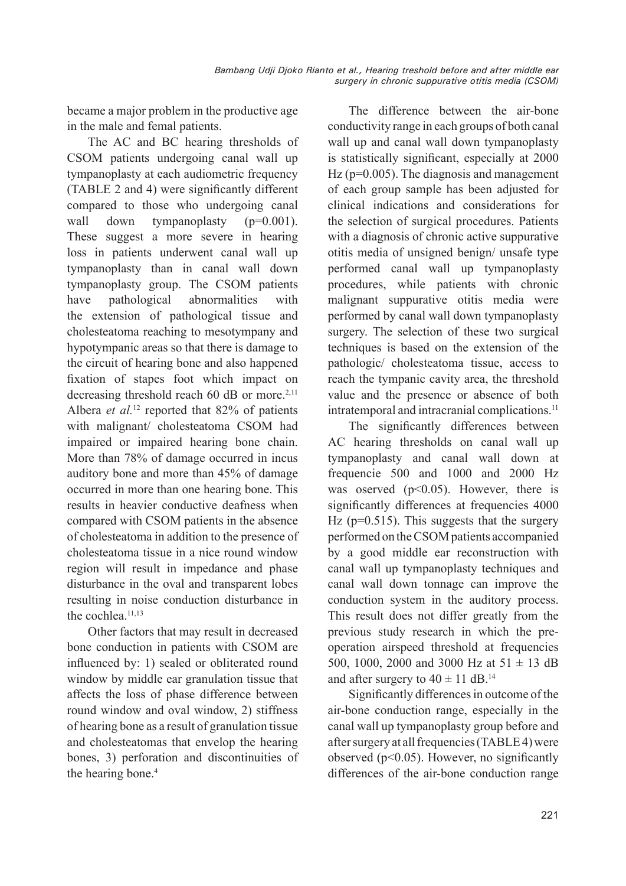became a major problem in the productive age in the male and femal patients.

The AC and BC hearing thresholds of CSOM patients undergoing canal wall up tympanoplasty at each audiometric frequency (TABLE 2 and 4) were significantly different compared to those who undergoing canal wall down tympanoplasty (p=0.001). These suggest a more severe in hearing loss in patients underwent canal wall up tympanoplasty than in canal wall down tympanoplasty group. The CSOM patients have pathological abnormalities with the extension of pathological tissue and cholesteatoma reaching to mesotympany and hypotympanic areas so that there is damage to the circuit of hearing bone and also happened fixation of stapes foot which impact on decreasing threshold reach  $60$  dB or more.<sup>2,11</sup> Albera *et al.*<sup>12</sup> reported that 82% of patients with malignant/ cholesteatoma CSOM had impaired or impaired hearing bone chain. More than 78% of damage occurred in incus auditory bone and more than 45% of damage occurred in more than one hearing bone. This results in heavier conductive deafness when compared with CSOM patients in the absence of cholesteatoma in addition to the presence of cholesteatoma tissue in a nice round window region will result in impedance and phase disturbance in the oval and transparent lobes resulting in noise conduction disturbance in the cochlea.<sup>11,13</sup>

Other factors that may result in decreased bone conduction in patients with CSOM are influenced by: 1) sealed or obliterated round window by middle ear granulation tissue that affects the loss of phase difference between round window and oval window, 2) stiffness of hearing bone as a result of granulation tissue and cholesteatomas that envelop the hearing bones, 3) perforation and discontinuities of the hearing bone.<sup>4</sup>

The difference between the air-bone conductivity range in each groups of both canal wall up and canal wall down tympanoplasty is statistically significant, especially at 2000 Hz (p=0.005). The diagnosis and management of each group sample has been adjusted for clinical indications and considerations for the selection of surgical procedures. Patients with a diagnosis of chronic active suppurative otitis media of unsigned benign/ unsafe type performed canal wall up tympanoplasty procedures, while patients with chronic malignant suppurative otitis media were performed by canal wall down tympanoplasty surgery. The selection of these two surgical techniques is based on the extension of the pathologic/ cholesteatoma tissue, access to reach the tympanic cavity area, the threshold value and the presence or absence of both intratemporal and intracranial complications.<sup>11</sup>

The significantly differences between AC hearing thresholds on canal wall up tympanoplasty and canal wall down at frequencie 500 and 1000 and 2000 Hz was oserved  $(p<0.05)$ . However, there is significantly differences at frequencies 4000 Hz (p=0.515). This suggests that the surgery performed on the CSOM patients accompanied by a good middle ear reconstruction with canal wall up tympanoplasty techniques and canal wall down tonnage can improve the conduction system in the auditory process. This result does not differ greatly from the previous study research in which the preoperation airspeed threshold at frequencies 500, 1000, 2000 and 3000 Hz at  $51 \pm 13$  dB and after surgery to  $40 \pm 11$  dB.<sup>14</sup>

Significantly differences in outcome of the air-bone conduction range, especially in the canal wall up tympanoplasty group before and after surgery at all frequencies (TABLE 4) were observed ( $p<0.05$ ). However, no significantly differences of the air-bone conduction range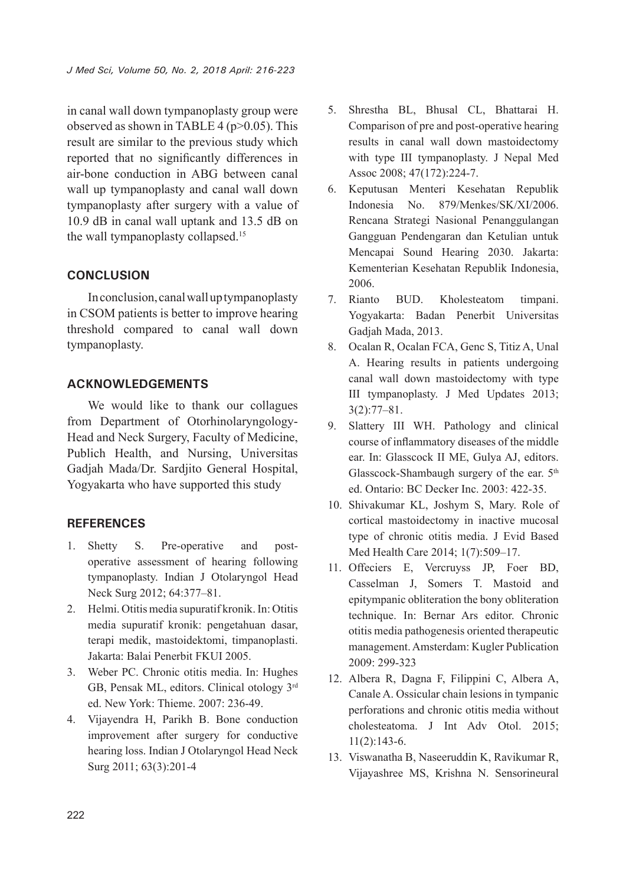in canal wall down tympanoplasty group were observed as shown in TABLE 4 ( $p > 0.05$ ). This result are similar to the previous study which reported that no significantly differences in air-bone conduction in ABG between canal wall up tympanoplasty and canal wall down tympanoplasty after surgery with a value of 10.9 dB in canal wall uptank and 13.5 dB on the wall tympanoplasty collapsed.<sup>15</sup>

## **CONCLUSION**

In conclusion, canal wall up tympanoplasty in CSOM patients is better to improve hearing threshold compared to canal wall down tympanoplasty.

## **ACKNOWLEDGEMENTS**

We would like to thank our collagues from Department of Otorhinolaryngology-Head and Neck Surgery, Faculty of Medicine, Publich Health, and Nursing, Universitas Gadjah Mada/Dr. Sardjito General Hospital, Yogyakarta who have supported this study

## **REFERENCES**

- 1. Shetty S. Pre-operative and postoperative assessment of hearing following tympanoplasty. Indian J Otolaryngol Head Neck Surg 2012; 64:377–81.
- 2. Helmi. Otitis media supuratif kronik. In: Otitis media supuratif kronik: pengetahuan dasar, terapi medik, mastoidektomi, timpanoplasti. Jakarta: Balai Penerbit FKUI 2005.
- 3. Weber PC. Chronic otitis media. In: Hughes GB, Pensak ML, editors. Clinical otology 3rd ed. New York: Thieme. 2007: 236-49.
- 4. Vijayendra H, Parikh B. Bone conduction improvement after surgery for conductive hearing loss. Indian J Otolaryngol Head Neck Surg 2011; 63(3):201-4
- 5. Shrestha BL, Bhusal CL, Bhattarai H. Comparison of pre and post-operative hearing results in canal wall down mastoidectomy with type III tympanoplasty. J Nepal Med Assoc 2008; 47(172):224-7.
- 6. Keputusan Menteri Kesehatan Republik Indonesia No. 879/Menkes/SK/XI/2006. Rencana Strategi Nasional Penanggulangan Gangguan Pendengaran dan Ketulian untuk Mencapai Sound Hearing 2030. Jakarta: Kementerian Kesehatan Republik Indonesia, 2006.
- 7. Rianto BUD. Kholesteatom timpani. Yogyakarta: Badan Penerbit Universitas Gadjah Mada, 2013.
- 8. Ocalan R, Ocalan FCA, Genc S, Titiz A, Unal A. Hearing results in patients undergoing canal wall down mastoidectomy with type III tympanoplasty. J Med Updates 2013; 3(2):77–81.
- 9. Slattery III WH. Pathology and clinical course of inflammatory diseases of the middle ear. In: Glasscock II ME, Gulya AJ, editors. Glasscock-Shambaugh surgery of the ear. 5<sup>th</sup> ed. Ontario: BC Decker Inc. 2003: 422-35.
- 10. Shivakumar KL, Joshym S, Mary. Role of cortical mastoidectomy in inactive mucosal type of chronic otitis media. J Evid Based Med Health Care 2014; 1(7):509–17.
- 11. Offeciers E, Vercruyss JP, Foer BD, Casselman J, Somers T. Mastoid and epitympanic obliteration the bony obliteration technique. In: Bernar Ars editor. Chronic otitis media pathogenesis oriented therapeutic management. Amsterdam: Kugler Publication 2009: 299-323
- 12. Albera R, Dagna F, Filippini C, Albera A, Canale A. Ossicular chain lesions in tympanic perforations and chronic otitis media without cholesteatoma. J Int Adv Otol. 2015; 11(2):143-6.
- 13. Viswanatha B, Naseeruddin K, Ravikumar R, Vijayashree MS, Krishna N. Sensorineural